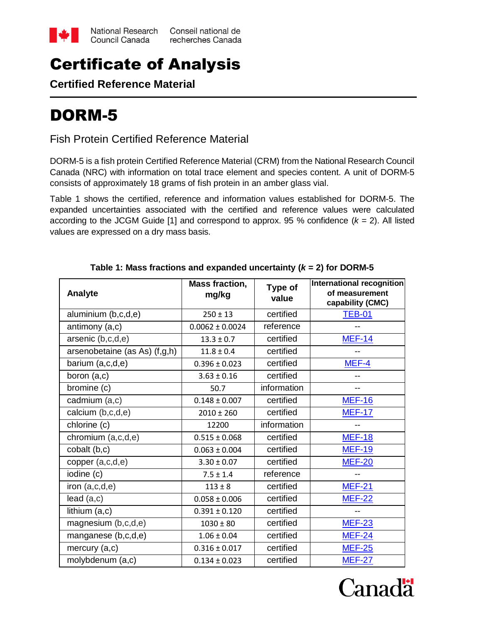

## Certificate of Analysis

**Certified Reference Material**

# DORM-5

Fish Protein Certified Reference Material

DORM-5 is a fish protein Certified Reference Material (CRM) from the National Research Council Canada (NRC) with information on total trace element and species content. A unit of DORM-5 consists of approximately 18 grams of fish protein in an amber glass vial.

Table 1 shows the certified, reference and information values established for DORM-5. The expanded uncertainties associated with the certified and reference values were calculated according to the JCGM Guide [1] and correspond to approx. 95 % confidence  $(k = 2)$ . All listed values are expressed on a dry mass basis.

| <b>Analyte</b>                | <b>Mass fraction,</b><br>mg/kg | Type of<br>value | International recognition<br>of measurement<br>capability (CMC) |
|-------------------------------|--------------------------------|------------------|-----------------------------------------------------------------|
| aluminium (b,c,d,e)           | $250 \pm 13$                   | certified        | <b>TEB-01</b>                                                   |
| antimony (a,c)                | $0.0062 \pm 0.0024$            | reference        |                                                                 |
| arsenic (b,c,d,e)             | $13.3 \pm 0.7$                 | certified        | <b>MEF-14</b>                                                   |
| arsenobetaine (as As) (f,g,h) | $11.8 \pm 0.4$                 | certified        |                                                                 |
| barium (a,c,d,e)              | $0.396 \pm 0.023$              | certified        | MEF-4                                                           |
| boron (a,c)                   | $3.63 \pm 0.16$                | certified        |                                                                 |
| bromine (c)                   | 50.7                           | information      |                                                                 |
| cadmium (a,c)                 | $0.148 \pm 0.007$              | certified        | <b>MEF-16</b>                                                   |
| calcium (b,c,d,e)             | $2010 \pm 260$                 | certified        | <b>MEF-17</b>                                                   |
| chlorine (c)                  | 12200                          | information      |                                                                 |
| chromium (a,c,d,e)            | $0.515 \pm 0.068$              | certified        | <b>MEF-18</b>                                                   |
| cobalt (b,c)                  | $0.063 \pm 0.004$              | certified        | <b>MEF-19</b>                                                   |
| copper (a,c,d,e)              | $3.30 \pm 0.07$                | certified        | <b>MEF-20</b>                                                   |
| iodine (c)                    | $7.5 \pm 1.4$                  | reference        |                                                                 |
| iron $(a, c, d, e)$           | $113 \pm 8$                    | certified        | <b>MEF-21</b>                                                   |
| lead(a,c)                     | $0.058 \pm 0.006$              | certified        | <b>MEF-22</b>                                                   |
| lithium (a,c)                 | $0.391 \pm 0.120$              | certified        |                                                                 |
| magnesium (b,c,d,e)           | $1030 \pm 80$                  | certified        | <b>MEF-23</b>                                                   |
| manganese (b,c,d,e)           | $1.06 \pm 0.04$                | certified        | <b>MEF-24</b>                                                   |
| mercury (a,c)                 | $0.316 \pm 0.017$              | certified        | <b>MEF-25</b>                                                   |
| molybdenum (a,c)              | $0.134 \pm 0.023$              | certified        | <b>MEF-27</b>                                                   |

**Table 1: Mass fractions and expanded uncertainty (***k* **= 2) for DORM-5**

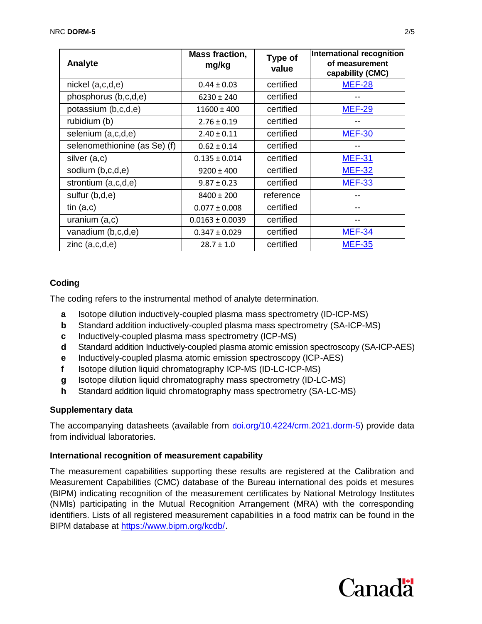| Analyte                      | <b>Mass fraction,</b><br>mg/kg | Type of<br>value | International recognition<br>of measurement<br>capability (CMC) |
|------------------------------|--------------------------------|------------------|-----------------------------------------------------------------|
| $nickel$ $(a, c, d, e)$      | $0.44 \pm 0.03$                | certified        | <b>MEF-28</b>                                                   |
| phosphorus (b,c,d,e)         | $6230 \pm 240$                 | certified        |                                                                 |
| potassium (b,c,d,e)          | $11600 \pm 400$                | certified        | <b>MEF-29</b>                                                   |
| rubidium (b)                 | $2.76 \pm 0.19$                | certified        |                                                                 |
| selenium (a,c,d,e)           | $2.40 \pm 0.11$                | certified        | <b>MEF-30</b>                                                   |
| selenomethionine (as Se) (f) | $0.62 \pm 0.14$                | certified        |                                                                 |
| silver (a,c)                 | $0.135 \pm 0.014$              | certified        | <b>MEF-31</b>                                                   |
| sodium (b,c,d,e)             | $9200 \pm 400$                 | certified        | <b>MEF-32</b>                                                   |
| strontium (a,c,d,e)          | $9.87 \pm 0.23$                | certified        | <b>MEF-33</b>                                                   |
| sulfur (b,d,e)               | $8400 \pm 200$                 | reference        |                                                                 |
| tin $(a, c)$                 | $0.077 \pm 0.008$              | certified        |                                                                 |
| uranium $(a, c)$             | $0.0163 \pm 0.0039$            | certified        |                                                                 |
| vanadium (b,c,d,e)           | $0.347 \pm 0.029$              | certified        | <b>MEF-34</b>                                                   |
| zinc $(a, c, d, e)$          | $28.7 \pm 1.0$                 | certified        | <b>MEF-35</b>                                                   |

## **Coding**

The coding refers to the instrumental method of analyte determination.

- **a** Isotope dilution inductively-coupled plasma mass spectrometry (ID-ICP-MS)
- **b** Standard addition inductively-coupled plasma mass spectrometry (SA-ICP-MS)
- **c** Inductively-coupled plasma mass spectrometry (ICP-MS)
- **d** Standard addition Inductively-coupled plasma atomic emission spectroscopy (SA-ICP-AES)
- **e** Inductively-coupled plasma atomic emission spectroscopy (ICP-AES)
- **f** Isotope dilution liquid chromatography ICP-MS (ID-LC-ICP-MS)
- **g** Isotope dilution liquid chromatography mass spectrometry (ID-LC-MS)
- **h** Standard addition liquid chromatography mass spectrometry (SA-LC-MS)

#### **Supplementary data**

The accompanying datasheets (available from d[oi.org/10.4224/crm.2021.dorm-5\)](https://doi.org/10.4224/crm.2021.dorm-5) provide data from individual laboratories.

#### **International recognition of measurement capability**

The measurement capabilities supporting these results are registered at the Calibration and Measurement Capabilities (CMC) database of the Bureau international des poids et mesures (BIPM) indicating recognition of the measurement certificates by National Metrology Institutes (NMIs) participating in the Mutual Recognition Arrangement (MRA) with the corresponding identifiers. Lists of all registered measurement capabilities in a food matrix can be found in the BIPM database at [https://www.bipm.org/kcdb/.](https://www.bipm.org/kcdb/)

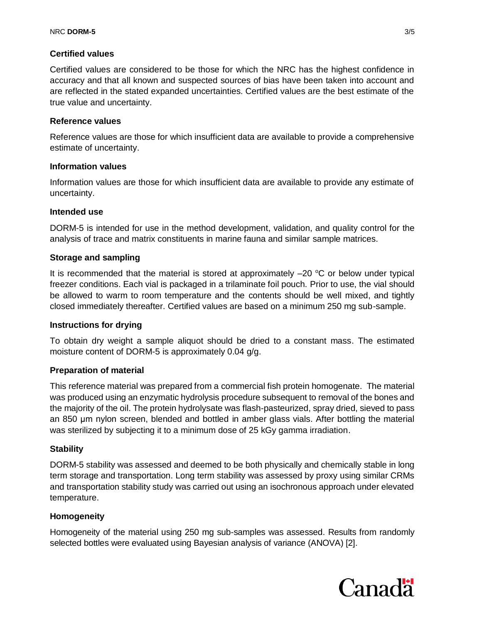#### **Certified values**

Certified values are considered to be those for which the NRC has the highest confidence in accuracy and that all known and suspected sources of bias have been taken into account and are reflected in the stated expanded uncertainties. Certified values are the best estimate of the true value and uncertainty.

#### **Reference values**

Reference values are those for which insufficient data are available to provide a comprehensive estimate of uncertainty.

#### **Information values**

Information values are those for which insufficient data are available to provide any estimate of uncertainty.

#### **Intended use**

DORM-5 is intended for use in the method development, validation, and quality control for the analysis of trace and matrix constituents in marine fauna and similar sample matrices.

#### **Storage and sampling**

It is recommended that the material is stored at approximately  $-20$  °C or below under typical freezer conditions. Each vial is packaged in a trilaminate foil pouch. Prior to use, the vial should be allowed to warm to room temperature and the contents should be well mixed, and tightly closed immediately thereafter. Certified values are based on a minimum 250 mg sub-sample.

#### **Instructions for drying**

To obtain dry weight a sample aliquot should be dried to a constant mass. The estimated moisture content of DORM-5 is approximately 0.04 g/g.

#### **Preparation of material**

This reference material was prepared from a commercial fish protein homogenate. The material was produced using an enzymatic hydrolysis procedure subsequent to removal of the bones and the majority of the oil. The protein hydrolysate was flash-pasteurized, spray dried, sieved to pass an 850 μm nylon screen, blended and bottled in amber glass vials. After bottling the material was sterilized by subjecting it to a minimum dose of 25 kGy gamma irradiation.

#### **Stability**

DORM-5 stability was assessed and deemed to be both physically and chemically stable in long term storage and transportation. Long term stability was assessed by proxy using similar CRMs and transportation stability study was carried out using an isochronous approach under elevated temperature.

#### **Homogeneity**

Homogeneity of the material using 250 mg sub-samples was assessed. Results from randomly selected bottles were evaluated using Bayesian analysis of variance (ANOVA) [2].

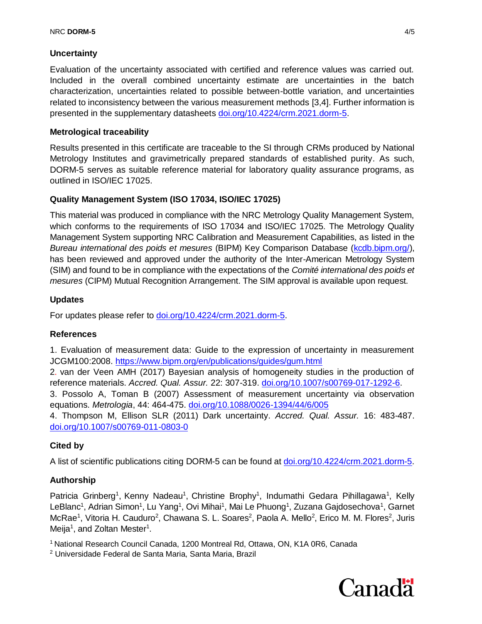## **Uncertainty**

Evaluation of the uncertainty associated with certified and reference values was carried out. Included in the overall combined uncertainty estimate are uncertainties in the batch characterization, uncertainties related to possible between-bottle variation, and uncertainties related to inconsistency between the various measurement methods [3,4]. Further information is presented in the supplementary datasheets [doi.org/10.4224/crm.2021.dorm-5.](https://doi.org/10.4224/crm.2021.dorm-5)

## **Metrological traceability**

Results presented in this certificate are traceable to the SI through CRMs produced by National Metrology Institutes and gravimetrically prepared standards of established purity. As such, DORM-5 serves as suitable reference material for laboratory quality assurance programs, as outlined in ISO/IEC 17025.

## **Quality Management System (ISO 17034, ISO/IEC 17025)**

This material was produced in compliance with the NRC Metrology Quality Management System, which conforms to the requirements of ISO 17034 and ISO/IEC 17025. The Metrology Quality Management System supporting NRC Calibration and Measurement Capabilities, as listed in the *Bureau international des poids et mesures* (BIPM) Key Comparison Database [\(kcdb.bipm.org/\)](http://kcdb.bipm.org/), has been reviewed and approved under the authority of the Inter-American Metrology System (SIM) and found to be in compliance with the expectations of the *Comité international des poids et mesures* (CIPM) Mutual Recognition Arrangement. The SIM approval is available upon request.

## **Updates**

For updates please refer to [doi.org/10.4224/crm.2021.dorm-5.](https://doi.org/10.4224/crm.2021.dorm-5)

#### **References**

1. Evaluation of measurement data: Guide to the expression of uncertainty in measurement JCGM100:2008. <https://www.bipm.org/en/publications/guides/gum.html>

2. van der Veen AMH (2017) Bayesian analysis of homogeneity studies in the production of reference materials. *Accred. Qual. Assur.* 22: 307-319. [doi.org/10.1007/s00769-017-1292-6.](doi:%2010.1007/s00769-017-1292-6)

3. Possolo A, Toman B (2007) Assessment of measurement uncertainty via observation equations. *Metrologia*, 44: 464-475. [doi.org/10.1088/0026-1394/44/6/005](file:///C:/Users/grinbergp/Documents/CRMs/DORM-5/certificate%20of%20analysis/doi.org/10.1088/0026-1394/44/6/005)

4. Thompson M, Ellison SLR (2011) Dark uncertainty. *Accred. Qual. Assur.* 16: 483-487. [doi.org/10.1007/s00769-011-0803-0](file:///C:/Users/grinbergp/Documents/CRMs/DORM-5/certificate%20of%20analysis/doi.org/10.1007/s00769-011-0803-0)

## **Cited by**

A list of scientific publications citing DORM-5 can be found at [doi.org/10.4224/crm.2021.dorm-5.](https://doi.org/10.4224/crm.2021.dorm-5)

## **Authorship**

Patricia Grinberg<sup>1</sup>, Kenny Nadeau<sup>1</sup>, Christine Brophy<sup>1</sup>, Indumathi Gedara Pihillagawa<sup>1</sup>, Kelly LeBlanc<sup>1</sup>, Adrian Simon<sup>1</sup>, Lu Yang<sup>1</sup>, Ovi Mihai<sup>1</sup>, Mai Le Phuong<sup>1</sup>, Zuzana Gajdosechova<sup>1</sup>, Garnet McRae<sup>1</sup>, Vitoria H. Cauduro<sup>2</sup>, Chawana S. L. Soares<sup>2</sup>, Paola A. Mello<sup>2</sup>, Erico M. M. Flores<sup>2</sup>, Juris Meija<sup>1</sup>, and Zoltan Mester<sup>1</sup>.

<sup>1</sup> National Research Council Canada, 1200 Montreal Rd, Ottawa, ON, K1A 0R6, Canada

<sup>2</sup> Universidade Federal de Santa Maria, Santa Maria, Brazil